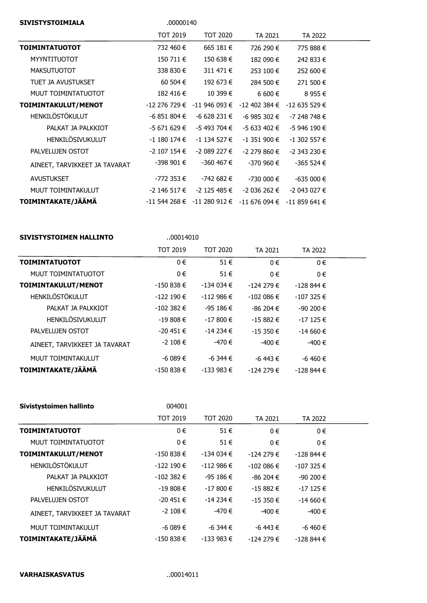| <b>SIVISTYSTOIMIALA</b>       | .00000140       |                                                         |                |                 |  |
|-------------------------------|-----------------|---------------------------------------------------------|----------------|-----------------|--|
|                               | <b>TOT 2019</b> | <b>TOT 2020</b>                                         | TA 2021        | TA 2022         |  |
| <b>TOIMINTATUOTOT</b>         | 732 460 €       | 665 181 €                                               | 726 290 €      | 775 888 €       |  |
| <b>MYYNTITUOTOT</b>           | 150 711 €       | 150 638 €                                               | 182 090 €      | 242 833 €       |  |
| <b>MAKSUTUOTOT</b>            | 338 830 €       | 311 471 €                                               | 253 100 €      | 252 600 €       |  |
| TUET JA AVUSTUKSET            | 60 504 €        | 192 673 €                                               | 284 500 €      | 271 500 €       |  |
| MUUT TOIMINTATUOTOT           | 182 416 €       | 10 399 €                                                | $6600 \in$     | 8 955 €         |  |
| TOIMINTAKULUT/MENOT           |                 | $-12$ 276 729 € $-11$ 946 093 €                         | -12 402 384 €  | $-12635529 \in$ |  |
| <b>HENKILÖSTÖKULUT</b>        | $-6851804€$     | $-6628231€$                                             | $-6$ 985 302 € | $-7248748 \in$  |  |
| PALKAT JA PALKKIOT            | -5 671 629 €    | -5 493 704 €                                            | -5 633 402 €   | -5 946 190 €    |  |
| <b>HENKILÖSIVUKULUT</b>       | -1 180 174 €    | $-1$ 134 527 €                                          | $-1$ 351 900 € | $-1$ 302 557 €  |  |
| PALVELUJEN OSTOT              | -2 107 154 €    | -2 089 227 €                                            | -2 279 860 €   | $-2$ 343 230 €  |  |
| AINEET, TARVIKKEET JA TAVARAT | $-398901€$      | -360 467 €                                              | -370 960 €     | $-365524 \in$   |  |
| AVUSTUKSET                    | -772 353 €      | -742 682 €                                              | $-730000 \in$  | $-635000 \in$   |  |
| MUUT TOIMINTAKULUT            | -2 146 517 €    | -2 125 485 €                                            | -2 036 262 €   | $-2043027 \in$  |  |
| TOIMINTAKATE/JÄÄMÄ            |                 | -11 544 268 € -11 280 912 € -11 676 094 € -11 859 641 € |                |                 |  |

| <b>SIVISTYSTOIMEN HALLINTO</b> | 00014010        |                 |               |               |  |
|--------------------------------|-----------------|-----------------|---------------|---------------|--|
|                                | <b>TOT 2019</b> | <b>TOT 2020</b> | TA 2021       | TA 2022       |  |
| <b>TOIMINTATUOTOT</b>          | 0€              | $51 \in$        | $0 \in$       | $0 \in$       |  |
| MUUT TOIMINTATUOTOT            | $0 \in$         | $51 \in$        | $0 \in$       | $0 \in$       |  |
| TOIMINTAKULUT/MENOT            | $-150838€$      | $-134034 \in$   | $-124279 \in$ | $-128844 \in$ |  |
| HENKILÖSTÖKULUT                | $-122190€$      | $-112986 \in$   | $-102086 \in$ | $-107325 \in$ |  |
| PALKAT JA PALKKIOT             | $-102382 \in$   | $-95186 \in$    | $-86204 \in$  | $-90200 \in$  |  |
| <b>HENKILÖSIVUKULUT</b>        | $-19808 \in$    | $-17800 \in$    | $-15882 \in$  | $-17125 \in$  |  |
| PALVELUJEN OSTOT               | $-20451 \in$    | $-14234 \in$    | $-15350 \in$  | $-14660 \in$  |  |
| AINEET, TARVIKKEET JA TAVARAT  | $-2$ 108 €      | -470 €          | -400 €        | -400 €        |  |
| MUUT TOIMINTAKULUT             | -6 089 €        | $-6,344 \in$    | $-6$ 443 €    | $-6,460$ €    |  |
| TOIMINTAKATE/JÄÄMÄ             | $-150838€$      | $-133983 \in$   | $-124279 \in$ | $-128844 \in$ |  |

| Sivistystoimen hallinto       | 004001          |                 |               |               |  |
|-------------------------------|-----------------|-----------------|---------------|---------------|--|
|                               | <b>TOT 2019</b> | <b>TOT 2020</b> | TA 2021       | TA 2022       |  |
| <b>TOIMINTATUOTOT</b>         | 0€              | 51€             | $0 \in$       | $0 \in$       |  |
| MUUT TOIMINTATUOTOT           | $0 \in$         | $51 \in$        | 0€            | $0 \in$       |  |
| TOIMINTAKULUT/MENOT           | $-150838 \in$   | $-134034 \in$   | $-124279 \in$ | $-128844 \in$ |  |
| <b>HENKILÖSTÖKULUT</b>        | $-122190 \in$   | $-112986 \in$   | $-102086 \in$ | $-107325 \in$ |  |
| PALKAT JA PALKKIOT            | $-102382 \in$   | $-95186 \in$    | $-86204 \in$  | $-90200 \in$  |  |
| <b>HENKILÖSIVUKULUT</b>       | $-19808 \in$    | $-17800 \in$    | $-15882 \in$  | $-17125 \in$  |  |
| PALVELUJEN OSTOT              | -20 451 €       | $-14234 \in$    | $-15350 \in$  | $-14660 \in$  |  |
| AINEET, TARVIKKEET JA TAVARAT | $-2$ 108 €      | -470 €          | -400 €        | -400 €        |  |
| MUUT TOIMINTAKULUT            | $-6089 \in$     | $-6,344 \in$    | $-6$ 443 €    | $-6$ 460 €    |  |
| TOIMINTAKATE/JÄÄMÄ            | $-150838€$      | $-133983 \in$   | $-124279 \in$ | -128 844 €    |  |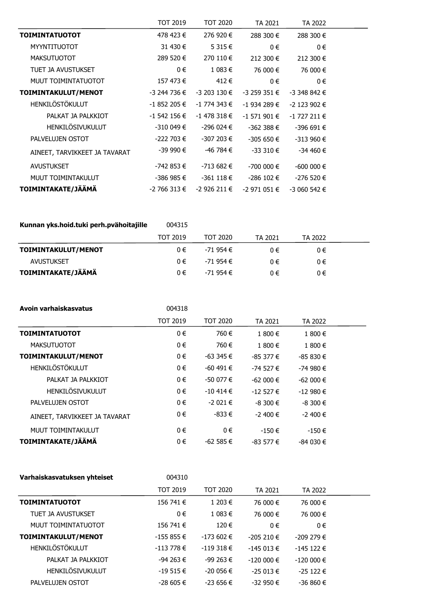|                               | TOT 2019       | TOT 2020       | TA 2021        | TA 2022        |  |
|-------------------------------|----------------|----------------|----------------|----------------|--|
| <b>TOIMINTATUOTOT</b>         | 478 423 €      | 276 920 €      | 288 300 €      | 288 300 €      |  |
| <b>MYYNTITUOTOT</b>           | 31 430 €       | 5 315 €        | $0 \in$        | $0 \in$        |  |
| <b>MAKSUTUOTOT</b>            | 289 520 €      | 270 110 €      | 212 300 €      | 212 300 €      |  |
| TUET JA AVUSTUKSET            | $0 \in$        | 1 083 €        | 76 000 €       | 76 000 €       |  |
| MUUT TOIMINTATUOTOT           | 157 473 €      | 412€           | $0 \in$        | $0 \in$        |  |
| TOIMINTAKULUT/MENOT           | -3 244 736 €   | -3 203 130 €   | $-3$ 259 351 € | $-3,348,842$ € |  |
| <b>HENKILÖSTÖKULUT</b>        | $-1852205 \in$ | -1 774 343 €   | $-1934289 \in$ | -2 123 902 €   |  |
| PALKAT JA PALKKIOT            | $-1$ 542 156 € | $-1$ 478 318 € | $-1$ 571 901 € | $-1$ 727 211 € |  |
| HENKILÖSIVUKULUT              | $-310049 \in$  | -296 024 €     | $-362388 \in$  | $-396691€$     |  |
| PALVELUJEN OSTOT              | $-222703 \in$  | -307 203 €     | $-305650€$     | $-313960 \in$  |  |
| AINEET, TARVIKKEET JA TAVARAT | -39 990 €      | -46 784 €      | $-33310€$      | $-34460 \in$   |  |
| AVUSTUKSET                    | -742 853 €     | -713 682 €     | $-700000 \in$  | $-600000 \in$  |  |
| MUUT TOIMINTAKULUT            | -386 985 €     | $-361118 \in$  | -286 102 €     | $-276520 \in$  |  |
| TOIMINTAKATE/JÄÄMÄ            | $-2766313 \in$ | -2 926 211 €   | -2 971 051 €   | $-3060542 \in$ |  |

| Kunnan yks.hoid.tuki perh.pvähoitajille | 004315 |
|-----------------------------------------|--------|
|-----------------------------------------|--------|

|                     | <b>TOT 2019</b> | TOT 2020  | TA 2021 | TA 2022 |  |
|---------------------|-----------------|-----------|---------|---------|--|
| TOIMINTAKULUT/MENOT | 0€              | -71 954 € | 0€      | 0€      |  |
| <b>AVUSTUKSET</b>   | $0 \in$         | -71 954 € | ∩€      | 0€      |  |
| TOIMINTAKATE/JÄÄMÄ  | 0€              | -71 954 € | $0 \in$ | 0€      |  |

| Avoin varhaiskasvatus         | 004318          |                 |              |              |  |
|-------------------------------|-----------------|-----------------|--------------|--------------|--|
|                               | <b>TOT 2019</b> | <b>TOT 2020</b> | TA 2021      | TA 2022      |  |
| <b>TOIMINTATUOTOT</b>         | 0€              | 760€            | 1 800 €      | 1 800 €      |  |
| <b>MAKSUTUOTOT</b>            | $0 \in$         | 760€            | 1 800 €      | 1 800 €      |  |
| TOIMINTAKULUT/MENOT           | 0€              | $-63345 \in$    | $-85377 \in$ | $-85830€$    |  |
| HENKILÖSTÖKULUT               | 0€              | $-60$ 491 €     | $-74527 \in$ | $-74980€$    |  |
| PALKAT JA PALKKIOT            | $0 \in$         | $-50077 \in$    | $-62000 \in$ | $-62000 \in$ |  |
| HENKILÖSIVUKULUT              | $0 \in$         | $-10414 \in$    | $-12527 \in$ | $-12980€$    |  |
| PALVELUJEN OSTOT              | $0 \in$         | $-2021€$        | $-8300 \in$  | $-8300 \in$  |  |
| AINEET, TARVIKKEET JA TAVARAT | $0 \in$         | $-833 \in$      | $-2,400$ €   | $-2,400$ €   |  |
| MUUT TOIMINTAKULUT            | 0€              | 0€              | $-150 \in$   | $-150 \in$   |  |
| TOIMINTAKATE/JÄÄMÄ            | 0€              | $-62585 \in$    | $-83577 \in$ | $-84030€$    |  |

| Varhaiskasvatuksen yhteiset | 004310          |                 |               |               |  |
|-----------------------------|-----------------|-----------------|---------------|---------------|--|
|                             | <b>TOT 2019</b> | <b>TOT 2020</b> | TA 2021       | TA 2022       |  |
| <b>TOIMINTATUOTOT</b>       | 156 741 €       | 1 203 €         | 76 000 €      | 76 000 €      |  |
| TUET JA AVUSTUKSET          | $0 \in$         | 1 083 €         | 76 000 €      | 76 000 €      |  |
| MUUT TOIMINTATUOTOT         | 156 741 €       | 120€            | $0 \in$       | $0 \in$       |  |
| TOIMINTAKULUT/MENOT         | $-155855 \in$   | $-173602 \in$   | $-205210 \in$ | $-209279 \in$ |  |
| <b>HENKILÖSTÖKULUT</b>      | $-113778 \in$   | $-119318 \in$   | $-145013 \in$ | $-145122 \in$ |  |
| PALKAT JA PALKKIOT          | $-94263 \in$    | $-99263 \in$    | $-120000 \in$ | $-120000 \in$ |  |
| HENKILÖSIVUKULUT            | $-19515 \in$    | $-200056 \in$   | $-25013 \in$  | $-25122 \in$  |  |
| PALVELUJEN OSTOT            | $-28605 \in$    | $-23656 \in$    | $-32950 \in$  | $-36860 \in$  |  |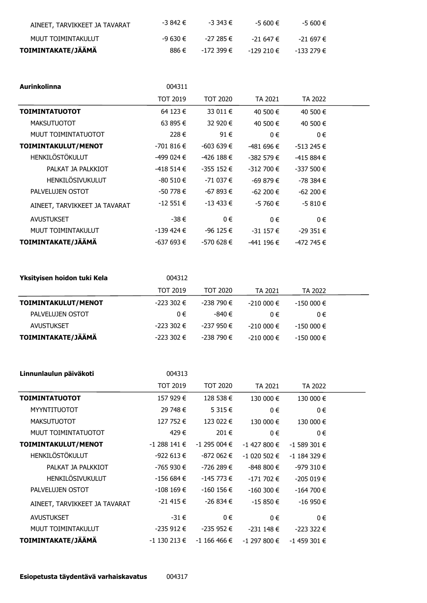| AINEET, TARVIKKEET JA TAVARAT | -3 842 € | -3 343 €   | -5 600 €   | -5 600 €   |
|-------------------------------|----------|------------|------------|------------|
| MUUT TOIMINTAKULUT            | $-9630€$ | -27 285 €  | -21.647 €  | -21.697 €  |
| TOIMINTAKATE/JÄÄMÄ            | 886 €    | -172 399 € | -129 210 € | -133 279 € |

| Aurinkolinna                  | 004311          |                 |               |               |  |
|-------------------------------|-----------------|-----------------|---------------|---------------|--|
|                               | <b>TOT 2019</b> | <b>TOT 2020</b> | TA 2021       | TA 2022       |  |
| <b>TOIMINTATUOTOT</b>         | 64 123 €        | 33 011 €        | 40 500 €      | 40 500 €      |  |
| <b>MAKSUTUOTOT</b>            | 63 895 €        | 32 920 €        | 40 500 €      | 40 500 €      |  |
| MUUT TOIMINTATUOTOT           | 228€            | 91€             | 0€            | 0€            |  |
| TOIMINTAKULUT/MENOT           | $-701816 \in$   | $-603639 \in$   | $-481696 \in$ | $-513245 \in$ |  |
| <b>HENKILÖSTÖKULUT</b>        | -499 024 €      | -426 188 €      | $-382579 \in$ | $-415884€$    |  |
| PALKAT JA PALKKIOT            | $-418514€$      | $-355152 \in$   | $-312700 \in$ | $-337500 \in$ |  |
| HENKILÖSIVUKULUT              | $-80510€$       | -71 037 €       | -69 879 €     | -78 384 €     |  |
| PALVELUJEN OSTOT              | -50 778 €       | -67 893 €       | $-62200 \in$  | $-62200 \in$  |  |
| AINEET, TARVIKKEET JA TAVARAT | $-12551 \in$    | $-13433 \in$    | -5 760 €      | $-5810€$      |  |
| <b>AVUSTUKSET</b>             | -38€            | $0 \in$         | 0€            | 0€            |  |
| MUUT TOIMINTAKULUT            | $-139$ 424 €    | $-96$ 125 €     | $-31157 \in$  | $-29351 \in$  |  |
| TOIMINTAKATE/JÄÄMÄ            | -637 693 €      | -570 628 €      | -441 196 €    | -472 745 €    |  |

| Yksityisen hoidon tuki Kela | 004312          |            |               |               |  |
|-----------------------------|-----------------|------------|---------------|---------------|--|
|                             | <b>TOT 2019</b> | TOT 2020   | TA 2021       | TA 2022       |  |
| TOIMINTAKULUT/MENOT         | $-223302 \in$   | -238 790 € | $-210000 \in$ | $-150000 \in$ |  |
| PALVELUJEN OSTOT            | $0 \in$         | -840 €     | 0€            | 0€            |  |
| AVUSTUKSET                  | $-223302 \in$   | -237 950 € | $-210000 \in$ | $-150000 \in$ |  |
| TOIMINTAKATE/JÄÄMÄ          | $-223302 \in$   | -238 790 € | $-210000 \in$ | $-150000 \in$ |  |

| Linnunlaulun päiväkoti        | 004313          |                 |                |                |  |
|-------------------------------|-----------------|-----------------|----------------|----------------|--|
|                               | <b>TOT 2019</b> | <b>TOT 2020</b> | TA 2021        | TA 2022        |  |
| <b>TOIMINTATUOTOT</b>         | 157 929 €       | 128 538 €       | 130 000 €      | 130 000 €      |  |
| <b>MYYNTITUOTOT</b>           | 29 748 €        | 5 315 €         | 0€             | $0 \in$        |  |
| <b>MAKSUTUOTOT</b>            | 127 752 €       | 123 022 €       | 130 000 €      | 130 000 €      |  |
| MUUT TOIMINTATUOTOT           | 429€            | 201€            | $0 \in$        | 0€             |  |
| TOIMINTAKULUT/MENOT           | $-1$ 288 141 €  | $-1$ 295 004 €  | $-1$ 427 800 € | $-1$ 589 301 € |  |
| HENKILÖSTÖKULUT               | $-922613 \in$   | -872 062 €      | $-1020502 \in$ | $-1$ 184 329 € |  |
| PALKAT JA PALKKIOT            | -765 930 €      | -726 289 €      | $-848800€$     | -979 310 €     |  |
| HENKILÖSIVUKULUT              | $-156684 \in$   | -145 773 €      | $-171702 \in$  | $-205019 \in$  |  |
| PALVELUJEN OSTOT              | $-108$ 169 €    | $-160$ 156 €    | $-160300 \in$  | $-164700 \in$  |  |
| AINEET, TARVIKKEET JA TAVARAT | $-21415 \in$    | $-26834€$       | $-15850€$      | $-16950 \in$   |  |
| <b>AVUSTUKSET</b>             | $-31 \in$       | $0 \in$         | 0€             | 0€             |  |
| MUUT TOIMINTAKULUT            | $-235912 \in$   | $-235952 \in$   | $-231148 \in$  | $-223322$ €    |  |
| TOIMINTAKATE/JÄÄMÄ            | $-1$ 130 213 €  | $-1$ 166 466 €  | $-1$ 297 800 € | $-1$ 459 301 € |  |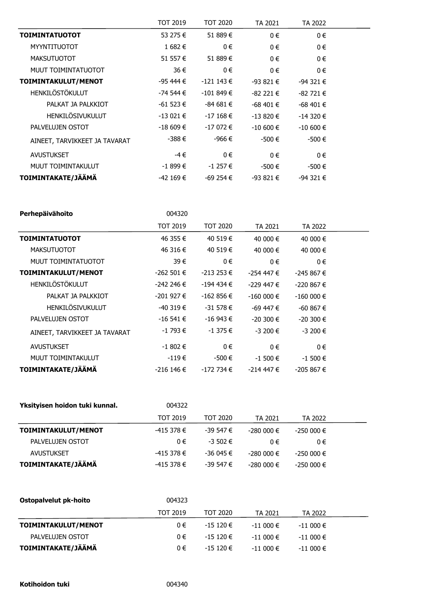|                               | <b>TOT 2019</b> | TOT 2020       | TA 2021      | TA 2022       |  |
|-------------------------------|-----------------|----------------|--------------|---------------|--|
| <b>TOIMINTATUOTOT</b>         | 53 275 €        | 51 889€        | 0€           | $0 \in$       |  |
| <b>MYYNTITUOTOT</b>           | 1 682 €         | $0 \in$        | 0€           | 0€            |  |
| <b>MAKSUTUOTOT</b>            | 51 557€         | 51 889€        | 0€           | 0€            |  |
| MUUT TOIMINTATUOTOT           | 36 €            | $0 \in$        | 0€           | $0 \in$       |  |
| TOIMINTAKULUT/MENOT           | -95 444 €       | $-1211143 \in$ | $-93821€$    | $-94321 \in$  |  |
| HENKILÖSTÖKULUT               | -74 544 €       | $-101849 \in$  | $-82221 \in$ | $-82721 \in$  |  |
| PALKAT JA PALKKIOT            | $-61523 \in$    | $-84681€$      | $-68,401$ €  | -68 401 €     |  |
| HENKILÖSIVUKULUT              | $-13021 \in$    | $-17168 \in$   | $-13820€$    | $-14320 \in$  |  |
| PALVELUJEN OSTOT              | $-18609€$       | $-17072$ €     | $-10,600$ €  | $-10,600 \in$ |  |
| AINEET, TARVIKKEET JA TAVARAT | $-388€$         | -966 €         | -500 €       | $-500 \in$    |  |
| <b>AVUSTUKSET</b>             | -4 €            | $0 \in$        | $0 \in$      | 0€            |  |
| MUUT TOIMINTAKULUT            | $-1899 \in$     | $-1257€$       | -500 €       | -500 €        |  |
| TOIMINTAKATE/JÄÄMÄ            | $-42169€$       | $-69254 \in$   | $-93821€$    | $-94321 \in$  |  |

| Perhepäivähoito               | 004320        |                 |               |               |  |
|-------------------------------|---------------|-----------------|---------------|---------------|--|
|                               | TOT 2019      | <b>TOT 2020</b> | TA 2021       | TA 2022       |  |
| <b>TOIMINTATUOTOT</b>         | 46 355 €      | 40 519 €        | 40 000 €      | 40 000 €      |  |
| <b>MAKSUTUOTOT</b>            | 46 316 €      | 40 519 €        | 40 000 €      | 40 000 €      |  |
| MUUT TOIMINTATUOTOT           | 39€           | $0 \in$         | 0€            | 0€            |  |
| TOIMINTAKULUT/MENOT           | $-262501 \in$ | $-213253 \in$   | -254 447 €    | $-245867 \in$ |  |
| <b>HENKILÖSTÖKULUT</b>        | -242 246 €    | $-194$ 434 €    | -229 447 €    | $-220867 \in$ |  |
| PALKAT JA PALKKIOT            | $-201927 \in$ | $-162856€$      | $-160000 \in$ | $-160000 \in$ |  |
| HENKILÖSIVUKULUT              | $-40319 \in$  | $-31578 \in$    | $-69,447$ €   | $-60867 \in$  |  |
| PALVELUJEN OSTOT              | $-16541€$     | $-16943 \in$    | $-20,300$ €   | $-20300 \in$  |  |
| AINEET, TARVIKKEET JA TAVARAT | $-1793 \in$   | $-1.375 \in$    | $-3200 \in$   | $-3200 \in$   |  |
| <b>AVUSTUKSET</b>             | $-1802 \in$   | $0 \in$         | 0€            | $0 \in$       |  |
| MUUT TOIMINTAKULUT            | $-119 \in$    | -500 €          | $-1,500 \in$  | $-1500 \in$   |  |
| TOIMINTAKATE/JÄÄMÄ            | $-216$ 146 €  | -172 734 €      | $-214447 \in$ | $-205867 \in$ |  |

| Yksityisen hoidon tuki kunnal. | 004322          |                 |               |               |  |
|--------------------------------|-----------------|-----------------|---------------|---------------|--|
|                                | <b>TOT 2019</b> | <b>TOT 2020</b> | TA 2021       | TA 2022       |  |
| TOIMINTAKULUT/MENOT            | -415 378 €      | $-39547 \in$    | $-280000 \in$ | $-250000 \in$ |  |
| PALVELUJEN OSTOT               | $0 \in$         | $-3,502$ €      | $0 \in$       | 0€            |  |
| AVUSTUKSET                     | $-415378 \in$   | $-36045 \in$    | $-280000 \in$ | $-250000 \in$ |  |
| TOIMINTAKATE/JÄÄMÄ             | -415 378 €      | -39 547 €       | $-280000 \in$ | $-250000 \in$ |  |

| Ostopalvelut pk-hoito | 004323          |              |              |              |  |
|-----------------------|-----------------|--------------|--------------|--------------|--|
|                       | <b>TOT 2019</b> | TOT 2020     | TA 2021      | TA 2022      |  |
| TOIMINTAKULUT/MENOT   | 0€              | $-15120 \in$ | $-11000 \in$ | $-11000 \in$ |  |
| PALVELUJEN OSTOT      | $0 \in$         | $-15120$ €   | $-11000 \in$ | $-11000 \in$ |  |
| TOIMINTAKATE/JÄÄMÄ    | 0€              | $-15120 \in$ | $-11000 \in$ | $-11000 \in$ |  |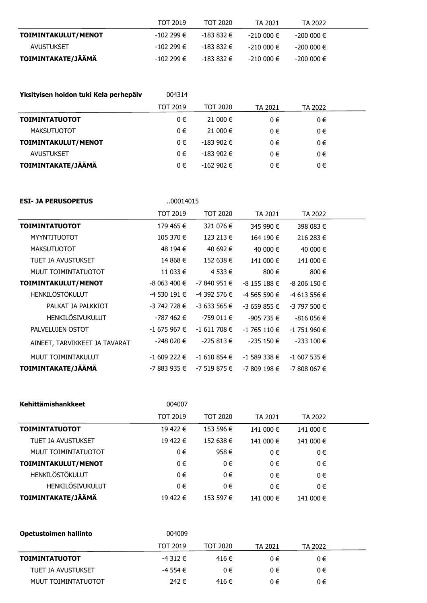|                     | TOT 2019   | TOT 2020   | TA 2021    | TA 2022       |
|---------------------|------------|------------|------------|---------------|
| TOIMINTAKULUT/MENOT | -102 299 € | -183 832 € | -210 000 € | -200 000 €    |
| AVUSTUKSET          | -102 299 € | -183 832 € | -210 000 € | -200 000 €    |
| TOIMINTAKATE/JÄÄMÄ  | -102 299 € | -183 832 € | -210 000 € | $-200000 \in$ |

| Yksityisen hoidon tuki Kela perhepäiv | 004314   |               |         |         |  |
|---------------------------------------|----------|---------------|---------|---------|--|
|                                       | TOT 2019 | TOT 2020      | TA 2021 | TA 2022 |  |
| <b>TOIMINTATUOTOT</b>                 | 0€       | 21 000 €      | 0€      | 0€      |  |
| <b>MAKSUTUOTOT</b>                    | $0 \in$  | 21 000 €      | 0€      | 0€      |  |
| TOIMINTAKULUT/MENOT                   | $0 \in$  | $-183902 \in$ | 0€      | 0€      |  |
| <b>AVUSTUKSET</b>                     | $0 \in$  | $-183902 \in$ | 0€      | $0 \in$ |  |
| TOIMINTAKATE/JÄÄMÄ                    | $0 \in$  | $-162902 \in$ | 0€      | 0€      |  |

| <b>ESI- JA PERUSOPETUS</b>    | 00014015        |                 |                |                |  |
|-------------------------------|-----------------|-----------------|----------------|----------------|--|
|                               | <b>TOT 2019</b> | <b>TOT 2020</b> | TA 2021        | TA 2022        |  |
| <b>TOIMINTATUOTOT</b>         | 179 465 €       | 321 076 €       | 345 990 €      | 398 083 €      |  |
| <b>MYYNTITUOTOT</b>           | 105 370 €       | 123 213 €       | 164 190 €      | 216 283 €      |  |
| <b>MAKSUTUOTOT</b>            | 48 194 €        | 40 692 €        | 40 000 €       | 40 000 €       |  |
| TUET JA AVUSTUKSET            | 14 868 €        | 152 638 €       | 141 000 €      | 141 000 €      |  |
| MUUT TOIMINTATUOTOT           | 11 033 €        | 4 533 €         | 800 €          | 800€           |  |
| TOIMINTAKULUT/MENOT           | $-8063400 \in$  | $-7840951€$     | $-8$ 155 188 € | $-8206150 \in$ |  |
| <b>HENKILÖSTÖKULUT</b>        | -4 530 191 €    | -4 392 576 €    | -4 565 590 €   | -4 613 556 €   |  |
| PALKAT JA PALKKIOT            | $-3742728 \in$  | $-3633565 \in$  | $-3659855 \in$ | $-3797500 \in$ |  |
| HENKILÖSIVUKULUT              | -787 462 €      | $-759011 \in$   | $-905735 \in$  | $-816056 \in$  |  |
| PALVELUJEN OSTOT              | $-1675967 \in$  | $-1611708 \in$  | $-1765110 \in$ | $-1751960 \in$ |  |
| AINEET, TARVIKKEET JA TAVARAT | $-248020€$      | $-225813€$      | $-235150€$     | $-233100 \in$  |  |
| MUUT TOIMINTAKULUT            | $-1609222 \in$  | $-1610854€$     | $-1$ 589 338 € | $-1607535 \in$ |  |
| TOIMINTAKATE/JÄÄMÄ            | -7 883 935 €    | $-7519875 \in$  | -7 809 198 €   | $-7808067 \in$ |  |

| Kehittämishankkeet    | 004007          |                 |           |           |  |
|-----------------------|-----------------|-----------------|-----------|-----------|--|
|                       | <b>TOT 2019</b> | <b>TOT 2020</b> | TA 2021   | TA 2022   |  |
| <b>TOIMINTATUOTOT</b> | 19 422 €        | 153 596 €       | 141 000 € | 141 000 € |  |
| TUET JA AVUSTUKSET    | 19 422 €        | 152 638 €       | 141 000 € | 141 000 € |  |
| MUUT TOIMINTATUOTOT   | 0€              | 958€            | 0€        | $0 \in$   |  |
| TOIMINTAKULUT/MENOT   | 0€              | $0 \in$         | $0 \in$   | $0 \in$   |  |
| HENKILÖSTÖKULUT       | $0 \in$         | $0 \in$         | $0 \in$   | $0 \in$   |  |
| HENKILÖSIVUKULUT      | 0€              | $0 \in$         | $0 \in$   | $0 \in$   |  |
| TOIMINTAKATE/JÄÄMÄ    | 19 422 €        | 153 597 €       | 141 000 € | 141 000 € |  |

| Opetustoimen hallinto | 004009      |          |         |         |  |
|-----------------------|-------------|----------|---------|---------|--|
|                       | TOT 2019    | TOT 2020 | TA 2021 | TA 2022 |  |
| <b>TOIMINTATUOTOT</b> | $-4312 \in$ | 416 €    | 0€      | 0€      |  |
| TUET JA AVUSTUKSET    | $-4554€$    | $0 \in$  | 0€      | 0€      |  |
| MUUT TOIMINTATUOTOT   | 242€        | 416 €    | 0€      | 0€      |  |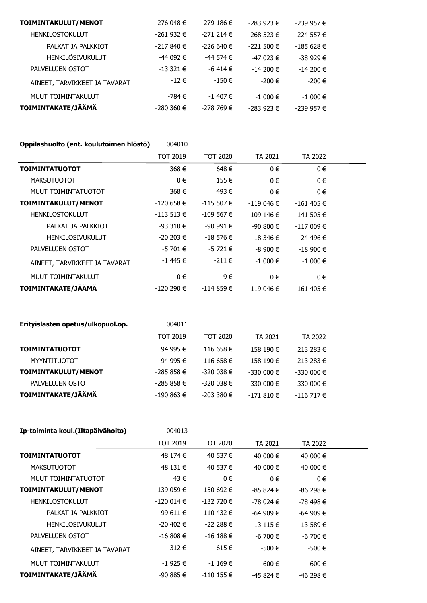| TOIMINTAKULUT/MENOT           | $-276048 \in$ | $-279$ 186 €  | $-283923 \in$ | $-239957 \in$ |
|-------------------------------|---------------|---------------|---------------|---------------|
| HENKILÖSTÖKULUT               | $-261932 \in$ | $-271214€$    | $-268523 \in$ | $-224557 \in$ |
| PALKAT JA PALKKIOT            | $-217840€$    | $-226640 \in$ | $-221500 \in$ | $-185628 \in$ |
| HENKILÖSIVUKULUT              | $-44092 \in$  | $-44574€$     | $-47023 \in$  | $-38929 \in$  |
| PALVELUJEN OSTOT              | $-13321 \in$  | $-6$ 414 €    | $-14200 \in$  | $-14200 \in$  |
| AINEET, TARVIKKEET JA TAVARAT | $-12 \in$     | $-150 \in$    | $-200 \in$    | $-200€$       |
| MUUT TOIMINTAKULUT            | -784 €        | $-1$ 407 €    | $-1000 \in$   | $-1000 \in$   |
| TOIMINTAKATE/JÄÄMÄ            | $-280360 \in$ | $-278769 \in$ | $-283923 \in$ | $-239957 \in$ |

| Oppilashuolto (ent. koulutoimen hlöstö) | 004010        |                 |               |               |  |
|-----------------------------------------|---------------|-----------------|---------------|---------------|--|
|                                         | TOT 2019      | <b>TOT 2020</b> | TA 2021       | TA 2022       |  |
| <b>TOIMINTATUOTOT</b>                   | 368€          | 648€            | $0 \in$       | 0€            |  |
| <b>MAKSUTUOTOT</b>                      | $0 \in$       | 155 €           | $0 \in$       | $0 \in$       |  |
| MUUT TOIMINTATUOTOT                     | 368€          | 493 €           | $0 \in$       | $0 \in$       |  |
| TOIMINTAKULUT/MENOT                     | $-120658 \in$ | $-115507 \in$   | $-119046 \in$ | $-161405 \in$ |  |
| HENKILÖSTÖKULUT                         | $-113513 \in$ | $-109567 \in$   | $-109146 \in$ | $-141505 \in$ |  |
| PALKAT JA PALKKIOT                      | $-93310€$     | $-9091€$        | $-90800 \in$  | $-117009 \in$ |  |
| <b>HENKILÖSIVUKULUT</b>                 | $-20203 \in$  | $-18576 \in$    | $-18346 \in$  | $-24496 \in$  |  |
| PALVELUJEN OSTOT                        | $-5701€$      | $-5721€$        | $-8900$ €     | $-18900 \in$  |  |
| AINEET, TARVIKKEET JA TAVARAT           | $-1$ 445 €    | $-211 \in$      | $-1000 \in$   | $-1000 \in$   |  |
| MUUT TOIMINTAKULUT                      | 0€            | -9€             | $0 \in$       | $0 \in$       |  |
| TOIMINTAKATE/JÄÄMÄ                      | $-120290 \in$ | $-114859€$      | $-119046 \in$ | $-161405 \in$ |  |

| Erityislasten opetus/ulkopuol.op. | 004011          |                 |               |               |  |
|-----------------------------------|-----------------|-----------------|---------------|---------------|--|
|                                   | <b>TOT 2019</b> | <b>TOT 2020</b> | TA 2021       | TA 2022       |  |
| <b>TOIMINTATUOTOT</b>             | 94 995 €        | 116 658 €       | 158 190 €     | 213 283 €     |  |
| MYYNTITUOTOT                      | 94 995 €        | 116 658 €       | 158 190 €     | 213 283 €     |  |
| TOIMINTAKULUT/MENOT               | $-285858 \in$   | $-320038 \in$   | $-330000 \in$ | $-330000 \in$ |  |
| PALVELUJEN OSTOT                  | $-285858 \in$   | $-320038 \in$   | $-330000 \in$ | $-330000 \in$ |  |
| TOIMINTAKATE/JÄÄMÄ                | $-190863 \in$   | $-2033380€$     | $-171810€$    | $-116717 \in$ |  |
|                                   |                 |                 |               |               |  |

| Ip-toiminta koul.(Iltapäivähoito) | 004013          |               |              |              |  |
|-----------------------------------|-----------------|---------------|--------------|--------------|--|
|                                   | <b>TOT 2019</b> | TOT 2020      | TA 2021      | TA 2022      |  |
| <b>TOIMINTATUOTOT</b>             | 48 174 €        | 40 537 €      | 40 000 €     | 40 000 €     |  |
| <b>MAKSUTUOTOT</b>                | 48 131 €        | 40 537 €      | 40 000 €     | 40 000 €     |  |
| MUUT TOIMINTATUOTOT               | 43€             | $0 \in$       | $0 \in$      | $0 \in$      |  |
| TOIMINTAKULUT/MENOT               | -139 059 €      | $-150692 \in$ | $-85824 \in$ | -86 298 €    |  |
| HENKILÖSTÖKULUT                   | $-120014 \in$   | $-132720$ €   | -78 024 €    | -78 498 €    |  |
| PALKAT JA PALKKIOT                | -99 611 €       | $-110$ 432 €  | $-64909 \in$ | $-64909 \in$ |  |
| <b>HENKILÖSIVUKULUT</b>           | -20 402 €       | $-222288€$    | $-13115 \in$ | $-13589€$    |  |
| PALVELUJEN OSTOT                  | $-16808 \in$    | $-16$ 188 €   | $-6700 \in$  | -6 700 €     |  |
| AINEET, TARVIKKEET JA TAVARAT     | $-312 \in$      | -615€         | $-500 \in$   | $-500 \in$   |  |
| MUUT TOIMINTAKULUT                | $-1925€$        | $-1169 \in$   | $-600 \in$   | $-600 \in$   |  |
| TOIMINTAKATE/JÄÄMÄ                | $-90885 \in$    | $-110$ 155 €  | $-45824 \in$ | $-46298 \in$ |  |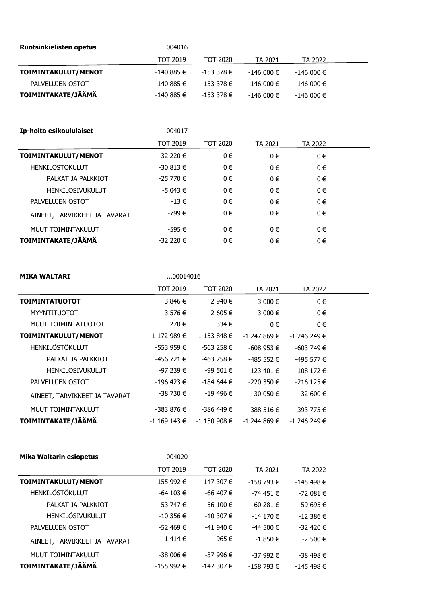| <b>Ruotsinkielisten opetus</b> | 004016          |               |               |               |  |
|--------------------------------|-----------------|---------------|---------------|---------------|--|
|                                | <b>TOT 2019</b> | TOT 2020      | TA 2021       | TA 2022       |  |
| TOIMINTAKULUT/MENOT            | -140 885 €      | -153 378 €    | $-146000 \in$ | $-146000 \in$ |  |
| PALVELUJEN OSTOT               | $-140885 \in$   | $-153378 \in$ | $-146000 \in$ | $-146000 \in$ |  |
| TOIMINTAKATE/JÄÄMÄ             | $-140885 \in$   | -153 378 €    | $-146000 \in$ | $-146000 \in$ |  |

| Ip-hoito esikoululaiset       | 004017          |                 |         |         |  |
|-------------------------------|-----------------|-----------------|---------|---------|--|
|                               | <b>TOT 2019</b> | <b>TOT 2020</b> | TA 2021 | TA 2022 |  |
| TOIMINTAKULUT/MENOT           | $-32220€$       | $0 \in$         | 0€      | $0 \in$ |  |
| HENKILÖSTÖKULUT               | $-30813 \in$    | $0 \in$         | $0 \in$ | 0€      |  |
| PALKAT JA PALKKIOT            | $-25770 \in$    | $0 \in$         | 0€      | 0€      |  |
| HENKILÖSIVUKULUT              | $-5043 \in$     | $0 \in$         | 0€      | $0 \in$ |  |
| PALVELUJEN OSTOT              | $-13 \in$       | $0 \in$         | 0€      | $0 \in$ |  |
| AINEET, TARVIKKEET JA TAVARAT | -799 €          | $0 \in$         | 0€      | $0 \in$ |  |
| MUUT TOIMINTAKULUT            | -595 €          | $0 \in$         | 0€      | 0€      |  |
| TOIMINTAKATE/JÄÄMÄ            | $-32220€$       | $0 \in$         | $0 \in$ | 0€      |  |

| MIKA WALTARI<br>00014016 |
|--------------------------|
|--------------------------|

|                               | <b>TOT 2019</b> | TOT 2020       | TA 2021       | TA 2022        |  |
|-------------------------------|-----------------|----------------|---------------|----------------|--|
| <b>TOIMINTATUOTOT</b>         | 3 846 €         | 2 940 €        | 3 000 €       | $0 \in$        |  |
| <b>MYYNTITUOTOT</b>           | 3 576 €         | 2 605 €        | 3 000 €       | $0 \in$        |  |
| MUUT TOIMINTATUOTOT           | 270€            | 334 $\epsilon$ | $0 \in$       | $0 \in$        |  |
| TOIMINTAKULUT/MENOT           | $-1$ 172 989 €  | $-1$ 153 848 € | -1 247 869 €  | $-1$ 246 249 € |  |
| HENKILÖSTÖKULUT               | $-55396$ €      | $-563258 \in$  | $-608953 \in$ | $-603749 \in$  |  |
| PALKAT JA PALKKIOT            | -456 721 €      | -463 758 €     | $-485552€$    | -495 577 €     |  |
| <b>HENKILÖSIVUKULUT</b>       | $-97239€$       | $-99501 \in$   | $-123401 \in$ | $-108$ 172 €   |  |
| PALVELUJEN OSTOT              | $-196$ 423 €    | $-184644 \in$  | $-220350 \in$ | $-216$ 125 €   |  |
| AINEET, TARVIKKEET JA TAVARAT | $-38730 \in$    | $-19,496 \in$  | $-30050 \in$  | $-32600 \in$   |  |
| MUUT TOIMINTAKULUT            | -383 876 €      | -386 449 €     | $-388516€$    | $-393775 \in$  |  |
| TOIMINTAKATE/JÄÄMÄ            | $-1$ 169 143 €  | $-1$ 150 908 € | -1 244 869 €  | $-1$ 246 249 € |  |

| <b>Mika Waltarin esiopetus</b> | 004020          |                 |               |               |  |
|--------------------------------|-----------------|-----------------|---------------|---------------|--|
|                                | <b>TOT 2019</b> | <b>TOT 2020</b> | TA 2021       | TA 2022       |  |
| TOIMINTAKULUT/MENOT            | $-155992 \in$   | $-147307 \in$   | $-158793 \in$ | $-145498 \in$ |  |
| <b>HENKILÖSTÖKULUT</b>         | $-64$ 103 €     | -66 407 €       | $-74451 \in$  | $-72081€$     |  |
| PALKAT JA PALKKIOT             | $-53747 \in$    | $-56100 \in$    | $-60281 \in$  | $-59695 \in$  |  |
| <b>HENKILÖSIVUKULUT</b>        | $-10.356 \in$   | $-10,307 \in$   | $-14170 \in$  | $-12386€$     |  |
| PALVELUJEN OSTOT               | $-52469 \in$    | $-41940€$       | $-44500 \in$  | $-32420 \in$  |  |
| AINEET, TARVIKKEET JA TAVARAT  | $-1414€$        | -965€           | $-1850€$      | $-2,500$ €    |  |
| MUUT TOIMINTAKULUT             | $-38006 \in$    | $-37996 \in$    | $-37992$ €    | $-38498 \in$  |  |
| TOIMINTAKATE/JÄÄMÄ             | -155 992 €      | $-147307 \in$   | $-158793 \in$ | $-145498 \in$ |  |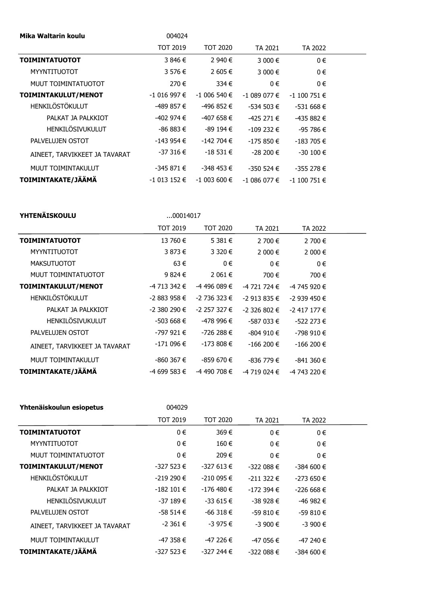| Mika Waltarin koulu           | 004024          |                |               |                |  |
|-------------------------------|-----------------|----------------|---------------|----------------|--|
|                               | <b>TOT 2019</b> | TOT 2020       | TA 2021       | TA 2022        |  |
| <b>TOIMINTATUOTOT</b>         | 3 846 €         | 2 940 €        | 3 000 €       | $0 \in$        |  |
| <b>MYYNTITUOTOT</b>           | 3 576 €         | 2 605 €        | 3 000 €       | $0 \in$        |  |
| MUUT TOIMINTATUOTOT           | 270€            | 334 $\epsilon$ | $0 \in$       | $0 \in$        |  |
| TOIMINTAKULUT/MENOT           | $-1016997$ €    | $-1006540 \in$ | -1 089 077 €  | $-1$ 100 751 € |  |
| <b>HENKILÖSTÖKULUT</b>        | -489 857 €      | $-496852 \in$  | $-534503 \in$ | $-531668 \in$  |  |
| PALKAT JA PALKKIOT            | -402 974 €      | -407 658 €     | $-425271€$    | $-435882 \in$  |  |
| HENKILÖSIVUKULUT              | $-86883€$       | $-89194 \in$   | $-109232 \in$ | $-95786 \in$   |  |
| PALVELUJEN OSTOT              | $-143954€$      | $-142704 \in$  | $-175850€$    | $-183705 \in$  |  |
| AINEET, TARVIKKEET JA TAVARAT | -37 316 €       | $-18531 \in$   | $-28200 \in$  | $-30100 \in$   |  |
| MUUT TOIMINTAKULUT            | $-345871€$      | -348 453 €     | $-350524 \in$ | $-355278 \in$  |  |
| TOIMINTAKATE/JÄÄMÄ            | $-1013152 \in$  | $-1003600$ €   | -1 086 077 €  | $-1$ 100 751 € |  |

| YHTENAISKOULU |  |  |  |
|---------------|--|--|--|
|               |  |  |  |

**YHTENÄISKOULU** ...00014017

|                               | <b>TOT 2019</b> | <b>TOT 2020</b> | TA 2021        | TA 2022        |  |
|-------------------------------|-----------------|-----------------|----------------|----------------|--|
| <b>TOIMINTATUOTOT</b>         | 13 760 €        | 5 381 €         | 2 700 €        | 2 700 €        |  |
| <b>MYYNTITUOTOT</b>           | 3 873 €         | 3 3 2 0 €       | 2 000 €        | 2 000 €        |  |
| <b>MAKSUTUOTOT</b>            | 63€             | 0€              | 0€             | 0€             |  |
| MUUT TOIMINTATUOTOT           | 9 824 €         | 2 061 €         | 700 €          | 700 €          |  |
| TOIMINTAKULUT/MENOT           | -4 713 342 €    | -4 496 089 €    | -4 721 724 €   | -4 745 920 €   |  |
| <b>HENKILÖSTÖKULUT</b>        | -2 883 958 €    | -2 736 323 €    | $-2913835€$    | $-2939450 \in$ |  |
| PALKAT JA PALKKIOT            | $-2,380,290$ €  | -2 257 327 €    | $-2,326,802$ € | $-2$ 417 177 € |  |
| <b>HENKILÖSIVUKULUT</b>       | $-503668 \in$   | -478 996 €      | $-587033 \in$  | $-522$ 273 €   |  |
| PALVELUJEN OSTOT              | -797 921 €      | -726 288 €      | $-804910€$     | -798 910 €     |  |
| AINEET, TARVIKKEET JA TAVARAT | -171 096 €      | $-173808 \in$   | $-166200 \in$  | $-166200 \in$  |  |
| MUUT TOIMINTAKULUT            | $-860367 \in$   | $-859670 \in$   | $-836779 \in$  | $-841360 \in$  |  |
| TOIMINTAKATE/JÄÄMÄ            | -4 699 583 €    | -4 490 708 €    | -4 719 024 €   | -4 743 220 €   |  |

| Yhtenäiskoulun esiopetus      | 004029          |                 |               |               |  |
|-------------------------------|-----------------|-----------------|---------------|---------------|--|
|                               | <b>TOT 2019</b> | <b>TOT 2020</b> | TA 2021       | TA 2022       |  |
| <b>TOIMINTATUOTOT</b>         | $0 \in$         | 369€            | 0€            | $0 \in$       |  |
| <b>MYYNTITUOTOT</b>           | $0 \in$         | 160 €           | $0 \in$       | $0 \in$       |  |
| MUUT TOIMINTATUOTOT           | $0 \in$         | 209€            | 0€            | $0 \in$       |  |
| TOIMINTAKULUT/MENOT           | $-327523 \in$   | $-327613 \in$   | $-322088 \in$ | $-384600 \in$ |  |
| HENKILÖSTÖKULUT               | $-219290 \in$   | $-210095 \in$   | $-211322 \in$ | $-273650 \in$ |  |
| PALKAT JA PALKKIOT            | $-182101 \in$   | $-176$ 480 €    | $-172394 \in$ | $-226668 \in$ |  |
| <b>HENKILÖSIVUKULUT</b>       | $-37189 \in$    | $-33615 \in$    | $-38928 \in$  | $-46982 \in$  |  |
| PALVELUJEN OSTOT              | -58 514 €       | $-66318 \in$    | $-59810€$     | $-59810€$     |  |
| AINEET, TARVIKKEET JA TAVARAT | $-2361 \in$     | $-3975€$        | $-3900$ €     | $-3900€$      |  |
| MUUT TOIMINTAKULUT            | -47 358 €       | $-47226 \in$    | $-47056 \in$  | $-47240€$     |  |
| TOIMINTAKATE/JÄÄMÄ            | $-327523 \in$   | -327 244 €      | $-322088 \in$ | $-384600 \in$ |  |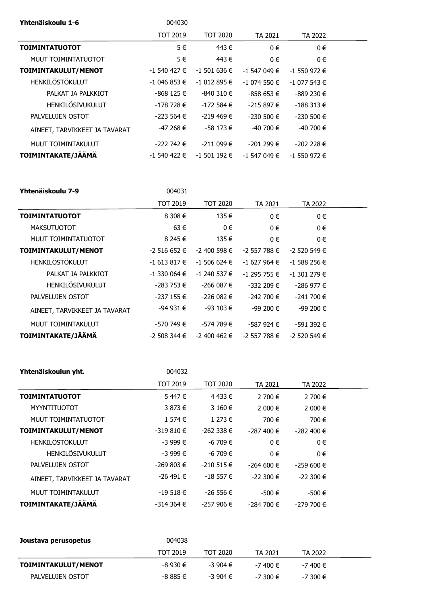| Yhtenäiskoulu 1-6             | 004030         |                 |                |                |  |
|-------------------------------|----------------|-----------------|----------------|----------------|--|
|                               | TOT 2019       | <b>TOT 2020</b> | TA 2021        | TA 2022        |  |
| <b>TOIMINTATUOTOT</b>         | 5€             | 443€            | $0 \in$        | 0€             |  |
| MUUT TOIMINTATUOTOT           | 5€             | 443€            | $0 \in$        | $0 \in$        |  |
| TOIMINTAKULUT/MENOT           | $-1540427 \in$ | $-1$ 501 636 €  | $-1$ 547 049 € | $-1$ 550 972 € |  |
| <b>HENKILÖSTÖKULUT</b>        | $-1046853 \in$ | $-1012895 \in$  | -1 074 550 €   | $-1077543 \in$ |  |
| PALKAT JA PALKKIOT            | -868 125 €     | $-840310€$      | $-858653 \in$  | $-889230 \in$  |  |
| <b>HENKILÖSIVUKULUT</b>       | -178 728 €     | $-172584€$      | $-215897€$     | $-188313 \in$  |  |
| PALVELUJEN OSTOT              | $-223564 \in$  | $-219,469 \in$  | $-230500 \in$  | $-230500 \in$  |  |
| AINEET, TARVIKKEET JA TAVARAT | $-47268 \in$   | $-58173 \in$    | -40 700 €      | $-40,700 \in$  |  |
| MUUT TOIMINTAKULUT            | $-222792 \in$  | $-211099 \in$   | $-201299 \in$  | $-202228 \in$  |  |
| TOIMINTAKATE/JÄÄMÄ            | $-1540422 \in$ | $-1$ 501 192 €  | $-1$ 547 049 € | $-1$ 550 972 € |  |

| Yhtenäiskoulu 7-9             | 004031          |                  |                |                |  |
|-------------------------------|-----------------|------------------|----------------|----------------|--|
|                               | <b>TOT 2019</b> | TOT 2020         | TA 2021        | TA 2022        |  |
| <b>TOIMINTATUOTOT</b>         | 8308€           | 135 €            | $0 \in$        | $0 \in$        |  |
| <b>MAKSUTUOTOT</b>            | 63€             | $0 \in$          | $0 \in$        | $0 \in$        |  |
| MUUT TOIMINTATUOTOT           | 8 245 €         | 135 $\epsilon$   | $0 \in$        | $0 \in$        |  |
| TOIMINTAKULUT/MENOT           | -2 516 652 €    | $-2,400,598 \in$ | -2 557 788 €   | $-2$ 520 549 € |  |
| HENKILÖSTÖKULUT               | -1 613 817 €    | $-1,506,624 \in$ | $-1627964 \in$ | $-1$ 588 256 € |  |
| PALKAT JA PALKKIOT            | $-1$ 330 064 €  | -1 240 537 €     | -1 295 755 €   | $-1$ 301 279 € |  |
| <b>HENKILÖSIVUKULUT</b>       | -283 753 €      | $-266087 \in$    | $-332209 \in$  | -286 977 €     |  |
| PALVELUJEN OSTOT              | $-237155 \in$   | $-226082 \in$    | -242 700 €     | $-241700 \in$  |  |
| AINEET, TARVIKKEET JA TAVARAT | -94 931 €       | $-93$ 103 €      | -99 200 €      | $-99200 \in$   |  |
| MUUT TOIMINTAKULUT            | -570 749 €      | -574 789 €       | -587 924 €     | $-591392 \in$  |  |
| <b>TOIMINTAKATE/JÄÄMÄ</b>     | -2 508 344 €    | -2 400 462 €     | -2 557 788 €   | $-2$ 520 549 € |  |

| Yhtenäiskoulun yht.           | 004032          |               |                |               |  |
|-------------------------------|-----------------|---------------|----------------|---------------|--|
|                               | <b>TOT 2019</b> | TOT 2020      | TA 2021        | TA 2022       |  |
| <b>TOIMINTATUOTOT</b>         | 5447€           | 4 433 €       | 2 700 €        | 2 700 €       |  |
| <b>MYYNTITUOTOT</b>           | 3 873 €         | 3 160 €       | 2 000 €        | 2 000 €       |  |
| MUUT TOIMINTATUOTOT           | 1574€           | 1 273 €       | 700 €          | 700€          |  |
| TOIMINTAKULUT/MENOT           | $-319810€$      | $-262338 \in$ | $-287,400 \in$ | $-282,400$ €  |  |
| <b>HENKILÖSTÖKULUT</b>        | $-3999 \in$     | $-6709 \in$   | 0€             | $0 \in$       |  |
| HENKILÖSIVUKULUT              | $-3999 \in$     | $-6709 \in$   | $0 \in$        | $0 \in$       |  |
| PALVELUJEN OSTOT              | $-269803 \in$   | $-210515 \in$ | $-264600 \in$  | $-259600 \in$ |  |
| AINEET, TARVIKKEET JA TAVARAT | $-26$ 491 €     | $-18557 \in$  | $-22300 \in$   | $-22300 \in$  |  |
| MUUT TOIMINTAKULUT            | $-19518 \in$    | $-26556 \in$  | $-500 \in$     | $-500 \in$    |  |
| TOIMINTAKATE/JÄÄMÄ            | -314 364 €      | $-257906 \in$ | $-284700 \in$  | $-279700 \in$ |  |

| Joustava perusopetus | 004038          |          |              |             |  |
|----------------------|-----------------|----------|--------------|-------------|--|
|                      | <b>TOT 2019</b> | TOT 2020 | TA 2021      | TA 2022     |  |
| TOIMINTAKULUT/MENOT  | $-8930€$        | $-3904€$ | -7 400 €     | -7 400 €    |  |
| PALVELUJEN OSTOT     | $-8885€$        | $-3904€$ | $-7.300 \in$ | $-7300 \in$ |  |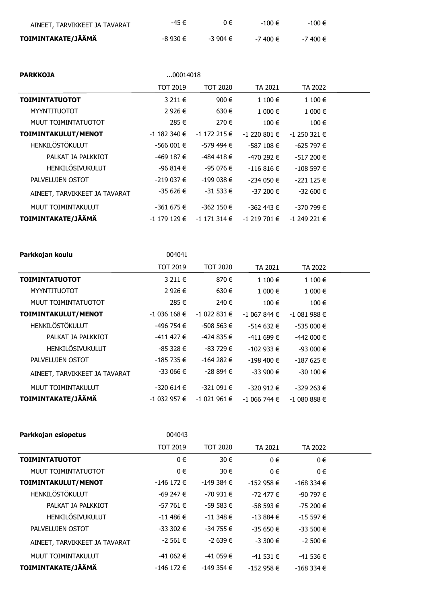| AINEET, TARVIKKEET JA TAVARAT | -45 €    | $0 \in$  | -100 €   | $-100 \in$  |
|-------------------------------|----------|----------|----------|-------------|
| TOIMINTAKATE/JÄÄMÄ            | -8 930 € | -3 904 € | -7 400 € | $-7400 \in$ |

| <b>PARKKOJA</b>               | 00014018        |                    |                |                |  |
|-------------------------------|-----------------|--------------------|----------------|----------------|--|
|                               | <b>TOT 2019</b> | <b>TOT 2020</b>    | TA 2021        | TA 2022        |  |
| <b>TOIMINTATUOTOT</b>         | 3211€           | 900 €              | 1 100 €        | $1100 \in$     |  |
| <b>MYYNTITUOTOT</b>           | 2 926 €         | 630€               | 1 000 €        | 1 000 €        |  |
| MUUT TOIMINTATUOTOT           | 285€            | 270€               | 100 €          | 100€           |  |
| TOIMINTAKULUT/MENOT           | $-1$ 182 340 €  | $-1$ 172 215 €     | $-1$ 220 801 € | $-1$ 250 321 € |  |
| <b>HENKILÖSTÖKULUT</b>        | $-566001€$      | -579 494 €         | $-587108 \in$  | $-625797 \in$  |  |
| PALKAT JA PALKKIOT            | -469 187 €      | -484 418 €         | -470 292 €     | $-517200 \in$  |  |
| HENKILÖSIVUKULUT              | -96 814 €       | -95 076 €          | $-116816 \in$  | $-108597 \in$  |  |
| PALVELUJEN OSTOT              | $-219037 \in$   | $-199038 \in$      | $-234050 \in$  | $-221125 \in$  |  |
| AINEET, TARVIKKEET JA TAVARAT | -35 626 €       | $-31533 \in$       | $-37200 \in$   | $-32600 \in$   |  |
| MUUT TOIMINTAKULUT            | -361 675 €      | $-362$ 150 €       | -362 443 €     | -370 799 €     |  |
| TOIMINTAKATE/JÄÄMÄ            | $-1$ 179 129 €  | $-1$ 171 314 $\in$ | -1 219 701 €   | $-1$ 249 221 € |  |

| Parkkojan koulu               | 004041         |                 |                |               |  |
|-------------------------------|----------------|-----------------|----------------|---------------|--|
|                               | TOT 2019       | <b>TOT 2020</b> | TA 2021        | TA 2022       |  |
| <b>TOIMINTATUOTOT</b>         | 3211€          | 870€            | 1 100 €        | 1 100 €       |  |
| <b>MYYNTITUOTOT</b>           | 2 926 €        | 630€            | $1000 \in$     | 1 000 €       |  |
| MUUT TOIMINTATUOTOT           | 285€           | 240 €           | 100 €          | 100€          |  |
| TOIMINTAKULUT/MENOT           | $-1036168 \in$ | $-1022831 \in$  | $-1067844 \in$ | $-1081988$ €  |  |
| HENKILÖSTÖKULUT               | -496 754 €     | $-508563 \in$   | $-514632 \in$  | $-535000 \in$ |  |
| PALKAT JA PALKKIOT            | $-411$ 427 €   | $-424835€$      | $-411699 \in$  | $-442000 \in$ |  |
| <b>HENKILÖSIVUKULUT</b>       | $-85328 \in$   | $-83729 \in$    | $-102933 \in$  | $-93000 \in$  |  |
| PALVELUJEN OSTOT              | $-185735 \in$  | $-164282 \in$   | $-198,400$ €   | $-187625 \in$ |  |
| AINEET, TARVIKKEET JA TAVARAT | $-33066 \in$   | -28 894 €       | $-33900 \in$   | $-30100 \in$  |  |
| MUUT TOIMINTAKULUT            | $-320614€$     | $-321091 \in$   | $-320912 \in$  | $-329263 \in$ |  |
| TOIMINTAKATE/JÄÄMÄ            | $-1032957 \in$ | $-1021961 \in$  | -1 066 744 €   | $-1080886$ €  |  |

| Parkkojan esiopetus           | 004043          |                 |               |               |  |
|-------------------------------|-----------------|-----------------|---------------|---------------|--|
|                               | <b>TOT 2019</b> | <b>TOT 2020</b> | TA 2021       | TA 2022       |  |
| <b>TOIMINTATUOTOT</b>         | $0 \in$         | 30 €            | $0 \in$       | $0 \in$       |  |
| MUUT TOIMINTATUOTOT           | $0 \in$         | 30 €            | $0 \in$       | $0 \in$       |  |
| TOIMINTAKULUT/MENOT           | $-146$ 172 €    | $-149384€$      | $-152958 \in$ | $-168334 \in$ |  |
| <b>HENKILÖSTÖKULUT</b>        | $-69247 \in$    | $-70931 \in$    | -72 477 €     | $-90797 \in$  |  |
| PALKAT JA PALKKIOT            | -57 761 €       | $-59583 \in$    | $-58593 \in$  | $-75200 \in$  |  |
| <b>HENKILÖSIVUKULUT</b>       | $-11$ 486 €     | $-11348 \in$    | $-13884€$     | $-15597€$     |  |
| PALVELUJEN OSTOT              | $-33302$ €      | $-34755 \in$    | $-35650 \in$  | $-33500 \in$  |  |
| AINEET, TARVIKKEET JA TAVARAT | $-2561€$        | $-2639€$        | $-3300$ €     | $-2,500$ €    |  |
| MUUT TOIMINTAKULUT            | $-41062 \in$    | $-41059€$       | $-41531€$     | $-41536 \in$  |  |
| TOIMINTAKATE/JÄÄMÄ            | $-146$ 172 €    | $-149354 \in$   | $-152958 \in$ | $-168334 \in$ |  |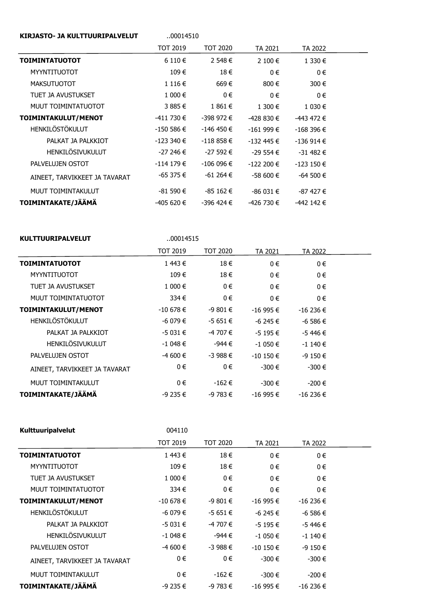| <b>KIRJASTO- JA KULTTUURIPALVELUT</b> | 00014510        |                 |               |               |  |
|---------------------------------------|-----------------|-----------------|---------------|---------------|--|
|                                       | <b>TOT 2019</b> | <b>TOT 2020</b> | TA 2021       | TA 2022       |  |
| <b>TOIMINTATUOTOT</b>                 | 6 110 €         | 2 548 €         | 2 100 €       | 1 330 €       |  |
| <b>MYYNTITUOTOT</b>                   | 109€            | 18€             | 0€            | 0€            |  |
| <b>MAKSUTUOTOT</b>                    | 1116€           | 669€            | 800€          | 300 €         |  |
| TUET JA AVUSTUKSET                    | 1 000 €         | $0 \in$         | $0 \in$       | $0 \in$       |  |
| MUUT TOIMINTATUOTOT                   | 3 885 €         | 1 861 €         | 1 300 €       | 1 030 €       |  |
| TOIMINTAKULUT/MENOT                   | -411 730 €      | -398 972 €      | -428 830 €    | $-443$ 472 €  |  |
| <b>HENKILÖSTÖKULUT</b>                | $-150586 \in$   | $-146$ 450 €    | $-161999 \in$ | $-168396 \in$ |  |
| PALKAT JA PALKKIOT                    | $-123390€$      | $-118858€$      | $-132$ 445 €  | $-136914 \in$ |  |
| HENKILÖSIVUKULUT                      | -27 246 €       | -27 592 €       | $-29554 \in$  | $-31482 \in$  |  |
| PALVELUJEN OSTOT                      | $-114179€$      | $-106096 \in$   | $-122200 \in$ | $-123150 \in$ |  |
| AINEET, TARVIKKEET JA TAVARAT         | -65 375 €       | $-61264 \in$    | $-58600 \in$  | $-64500 \in$  |  |
| MUUT TOIMINTAKULUT                    | -81 590 €       | $-85162 \in$    | $-86031€$     | $-87427 \in$  |  |
| TOIMINTAKATE/JÄÄMÄ                    | -405 620 €      | -396 424 €      | -426 730 €    | $-442$ 142 €  |  |

| <b>KULTTUURIPALVELUT</b>      | 00014515        |                 |              |              |  |
|-------------------------------|-----------------|-----------------|--------------|--------------|--|
|                               | <b>TOT 2019</b> | <b>TOT 2020</b> | TA 2021      | TA 2022      |  |
| <b>TOIMINTATUOTOT</b>         | 1443€           | 18€             | $0 \in$      | 0€           |  |
| <b>MYYNTITUOTOT</b>           | 109€            | 18€             | $0 \in$      | 0€           |  |
| TUET JA AVUSTUKSET            | 1 000 €         | $0 \in$         | 0€           | 0€           |  |
| MUUT TOIMINTATUOTOT           | 334 $\epsilon$  | $0 \in$         | $0 \in$      | $0 \in$      |  |
| TOIMINTAKULUT/MENOT           | $-10678 \in$    | $-9801€$        | $-16995 \in$ | $-16236 \in$ |  |
| HENKILÖSTÖKULUT               | $-6079 \in$     | $-5651€$        | $-6245 \in$  | $-6586€$     |  |
| PALKAT JA PALKKIOT            | $-5031€$        | -4 707 €        | $-5195€$     | -5 446 €     |  |
| HENKILÖSIVUKULUT              | $-1048€$        | -944 €          | $-1050€$     | $-1140€$     |  |
| PALVELUJEN OSTOT              | $-4600$ €       | $-3988€$        | $-10$ 150 €  | $-9150€$     |  |
| AINEET, TARVIKKEET JA TAVARAT | 0€              | $0 \in$         | -300 €       | $-300€$      |  |
| MUUT TOIMINTAKULUT            | 0€              | -162 €          | -300 €       | $-200€$      |  |
| TOIMINTAKATE/JÄÄMÄ            | $-9235 \in$     | $-9783 \in$     | $-16995 \in$ | $-16236 \in$ |  |

| Kulttuuripalvelut             | 004110          |                 |              |              |  |
|-------------------------------|-----------------|-----------------|--------------|--------------|--|
|                               | <b>TOT 2019</b> | <b>TOT 2020</b> | TA 2021      | TA 2022      |  |
| <b>TOIMINTATUOTOT</b>         | 1443€           | 18€             | 0€           | $0 \in$      |  |
| <b>MYYNTITUOTOT</b>           | 109€            | 18€             | 0€           | 0€           |  |
| TUET JA AVUSTUKSET            | 1 000 €         | $0 \in$         | 0€           | 0€           |  |
| MUUT TOIMINTATUOTOT           | 334€            | $0 \in$         | 0€           | 0€           |  |
| TOIMINTAKULUT/MENOT           | $-10678 \in$    | $-9801€$        | $-16995 \in$ | $-16236 \in$ |  |
| HENKILÖSTÖKULUT               | $-6079 \in$     | $-5651€$        | $-6245 \in$  | $-6586€$     |  |
| PALKAT JA PALKKIOT            | $-5031€$        | $-4707 \in$     | $-5195 \in$  | $-5446 \in$  |  |
| HENKILÖSIVUKULUT              | $-1048€$        | -944 €          | $-1050€$     | $-1140€$     |  |
| PALVELUJEN OSTOT              | $-4600$ €       | $-3988€$        | $-10150 \in$ | $-9150€$     |  |
| AINEET, TARVIKKEET JA TAVARAT | $0 \in$         | $0 \in$         | $-300€$      | $-300€$      |  |
| MUUT TOIMINTAKULUT            | 0€              | $-162€$         | $-300€$      | $-200€$      |  |
| TOIMINTAKATE/JÄÄMÄ            | $-9235 \in$     | $-9783 \in$     | $-16995 \in$ | $-16236 \in$ |  |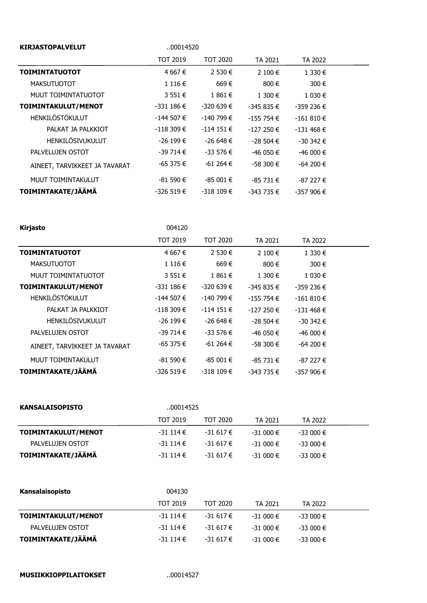| <b>KIRJASTOPALVELUT</b>       | 00014520      |               |               |               |  |
|-------------------------------|---------------|---------------|---------------|---------------|--|
|                               | TOT 2019      | TOT 2020      | TA 2021       | TA 2022       |  |
| <b>TOIMINTATUOTOT</b>         | 4 667 €       | 2 530 €       | 2 100 €       | 1 330 €       |  |
| <b>MAKSUTUOTOT</b>            | 1116€         | 669€          | 800 €         | 300 €         |  |
| MUUT TOIMINTATUOTOT           | 3 5 5 1 €     | 1 861 €       | 1 300 €       | 1 030 €       |  |
| TOIMINTAKULUT/MENOT           | $-331186 \in$ | $-320639 \in$ | -345 835 €    | $-359236 \in$ |  |
| HENKILÖSTÖKULUT               | $-144507 \in$ | -140 799 €    | $-155754 \in$ | $-161810€$    |  |
| PALKAT JA PALKKIOT            | $-118309 \in$ | $-114151 \in$ | $-127250 \in$ | $-131468 \in$ |  |
| HENKILÖSIVUKULUT              | $-26199 \in$  | -26 648 €     | $-28504€$     | -30 342 €     |  |
| PALVELUJEN OSTOT              | $-39714 \in$  | $-33576 \in$  | $-46050 \in$  | $-46000 \in$  |  |
| AINEET, TARVIKKEET JA TAVARAT | $-65375 \in$  | $-61264 \in$  | $-58300 \in$  | $-64200 \in$  |  |
| MUUT TOIMINTAKULUT            | $-81590€$     | $-85001€$     | $-85731 \in$  | $-87227 \in$  |  |
| TOIMINTAKATE/JÄÄMÄ            | $-326519€$    | $-318109 \in$ | $-343735 \in$ | $-357906 \in$ |  |

| TOT 2019      | <b>TOT 2020</b> | TA 2021       | TA 2022       |  |
|---------------|-----------------|---------------|---------------|--|
| 4 667 €       | 2 530 €         | 2 100 €       | 1 330 €       |  |
| 1116€         | 669€            | 800 €         | 300€          |  |
| 3 551 €       | 1861€           | 1 300 €       | 1 030 €       |  |
| $-331186 \in$ | -320 639 €      | -345 835 €    | -359 236 €    |  |
| $-144507 \in$ | -140 799 €      | $-155754 \in$ | $-161810€$    |  |
| $-118309 \in$ | $-114151 \in$   | $-127250 \in$ | $-131468 \in$ |  |
| $-26199 \in$  | $-26698€$       | $-28,504 \in$ | $-30342 \in$  |  |
| $-39714 \in$  | $-33576 \in$    | -46 050 €     | $-46000 \in$  |  |
| $-65375 \in$  | $-61264 \in$    | $-58300 \in$  | $-64200 \in$  |  |
| $-81590 \in$  | $-85001 \in$    | $-85731€$     | -87 227 €     |  |
| $-326519 \in$ | $-318109 \in$   | -343 735 €    | $-357906 \in$ |  |
|               | 004120          |               |               |  |

| <b>KANSALAISOPISTO</b> |                 | 00014525     |              |              |  |  |
|------------------------|-----------------|--------------|--------------|--------------|--|--|
|                        | <b>TOT 2019</b> | TOT 2020     | TA 2021      | TA 2022      |  |  |
| TOIMINTAKULUT/MENOT    | $-31114€$       | $-31617 \in$ | $-31000 \in$ | $-33000 \in$ |  |  |
| PALVELUJEN OSTOT       | $-31114€$       | $-31617 \in$ | $-31000 \in$ | $-33000 \in$ |  |  |
| TOIMINTAKATE/JÄÄMÄ     | $-31114€$       | $-31617€$    | $-31000 \in$ | $-33000 \in$ |  |  |

| Kansalaisopisto     | 004130          |              |              |              |  |
|---------------------|-----------------|--------------|--------------|--------------|--|
|                     | <b>TOT 2019</b> | TOT 2020     | TA 2021      | TA 2022      |  |
| TOIMINTAKULUT/MENOT | $-31114€$       | $-31617 \in$ | $-31000 \in$ | $-33000 \in$ |  |
| PALVELUJEN OSTOT    | $-31114€$       | $-31617 \in$ | $-31000 \in$ | $-33000 \in$ |  |
| TOIMINTAKATE/JÄÄMÄ  | $-31114€$       | $-31617 \in$ | $-31000 \in$ | $-33000 \in$ |  |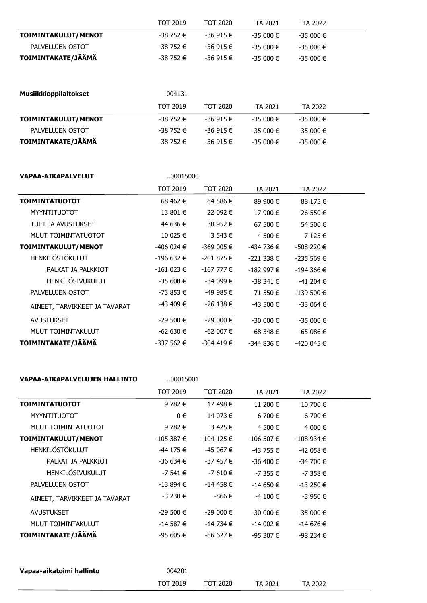|                     | <b>TOT 2019</b> | <b>TOT 2020</b> | TA 2021   | TA 2022    |  |
|---------------------|-----------------|-----------------|-----------|------------|--|
| TOIMINTAKULUT/MENOT | -38 752 €       | -36 915 €       | -35 000 € | -35 000 €  |  |
| PALVELUJEN OSTOT    | -38 752 €       | -36.915 €       | -35 000 € | -35 000 €  |  |
| TOIMINTAKATE/JÄÄMÄ  | -38 752 €       | -36 915 €       | -35 000 € | $-35000$ € |  |

| <b>Musiikkioppilaitokset</b> | 004131          |              |              |              |  |
|------------------------------|-----------------|--------------|--------------|--------------|--|
|                              | <b>TOT 2019</b> | TOT 2020     | TA 2021      | TA 2022      |  |
| TOIMINTAKULUT/MENOT          | -38 752 €       | $-36915 \in$ | $-35000 \in$ | $-35000 \in$ |  |
| PALVELUJEN OSTOT             | -38 752 €       | $-36915 \in$ | $-35000 \in$ | $-35000 \in$ |  |
| TOIMINTAKATE/JÄÄMÄ           | -38 752 €       | $-36915 \in$ | $-35000 \in$ | $-35000 \in$ |  |

## **VAPAA-AIKAPALVELUT** ..00015000

|                               | <b>TOT 2019</b> | <b>TOT 2020</b> | TA 2021       | TA 2022       |  |
|-------------------------------|-----------------|-----------------|---------------|---------------|--|
| <b>TOIMINTATUOTOT</b>         | 68 462 €        | 64 586 €        | 89 900 €      | 88 175 €      |  |
| <b>MYYNTITUOTOT</b>           | 13 801 €        | 22 092 €        | 17 900 €      | 26 550 €      |  |
| TUET JA AVUSTUKSET            | 44 636 €        | 38 952 €        | 67 500 €      | 54 500 €      |  |
| MUUT TOIMINTATUOTOT           | 10 025 €        | 3 543 €         | 4 500 €       | 7 125 €       |  |
| TOIMINTAKULUT/MENOT           | -406 024 €      | $-369005 \in$   | -434 736 €    | -508 220 €    |  |
| <b>HENKILÖSTÖKULUT</b>        | -196 632 €      | -201 875 €      | $-221338 \in$ | $-235569€$    |  |
| PALKAT JA PALKKIOT            | $-161023 \in$   | $-167777 \in$   | $-182997 \in$ | -194 366 €    |  |
| <b>HENKILÖSIVUKULUT</b>       | $-35608 \in$    | -34 099 €       | $-38341 \in$  | -41 204 €     |  |
| PALVELUJEN OSTOT              | -73 853 €       | $-499985€$      | $-71550 \in$  | $-139500 \in$ |  |
| AINEET, TARVIKKEET JA TAVARAT | $-43,409$ €     | $-26138 \in$    | $-43500 \in$  | $-33064 \in$  |  |
| <b>AVUSTUKSET</b>             | $-29500 \in$    | $-29000 \in$    | $-30000 \in$  | $-35000 \in$  |  |
| MUUT TOIMINTAKULUT            | $-62630 \in$    | $-62007 \in$    | $-68348 \in$  | -65 086 €     |  |
| TOIMINTAKATE/JÄÄMÄ            | -337 562 €      | $-304$ 419 €    | -344 836 €    | -420 045 €    |  |

## VAPAA-AIKAPALVELUJEN HALLINTO ...

| .00015001 |  |
|-----------|--|
|           |  |

|                               | <b>TOT 2019</b> | TOT 2020     | TA 2021       | TA 2022       |  |
|-------------------------------|-----------------|--------------|---------------|---------------|--|
| <b>TOIMINTATUOTOT</b>         | 9 782 €         | 17 498 €     | 11 200 €      | 10 700 €      |  |
| <b>MYYNTITUOTOT</b>           | 0€              | 14 073 €     | $6700 \in$    | $6700 \in$    |  |
| MUUT TOIMINTATUOTOT           | 9 782 €         | 3425€        | 4 500 €       | 4 000 €       |  |
| TOIMINTAKULUT/MENOT           | $-105387 \in$   | $-104$ 125 € | $-106507$ €   | $-108934 \in$ |  |
| <b>HENKILÖSTÖKULUT</b>        | -44 175 €       | $-45067 \in$ | $-43755 \in$  | $-42058€$     |  |
| PALKAT JA PALKKIOT            | -36 634 €       | -37 457 €    | $-36,400 \in$ | $-34700 \in$  |  |
| <b>HENKILÖSIVUKULUT</b>       | $-7541€$        | $-7610€$     | $-7355 \in$   | $-7358 \in$   |  |
| PALVELUJEN OSTOT              | $-13894€$       | $-14458 \in$ | $-14650 \in$  | $-13250 \in$  |  |
| AINEET, TARVIKKEET JA TAVARAT | $-3230€$        | -866 €       | $-4$ 100 €    | $-3950€$      |  |
| <b>AVUSTUKSET</b>             | $-29500 \in$    | $-29000 \in$ | $-30000 \in$  | $-35000 \in$  |  |
| MUUT TOIMINTAKULUT            | $-14587€$       | $-14734 \in$ | $-14002 \in$  | $-14676 \in$  |  |
| TOIMINTAKATE/JÄÄMÄ            | $-95605 \in$    | -86 627 €    | $-95307 \in$  | -98 234 €     |  |

| Vapaa-aikatoimi hallinto | 004201          |          |         |         |
|--------------------------|-----------------|----------|---------|---------|
|                          | <b>TOT 2019</b> | TOT 2020 | TA 2021 | TA 2022 |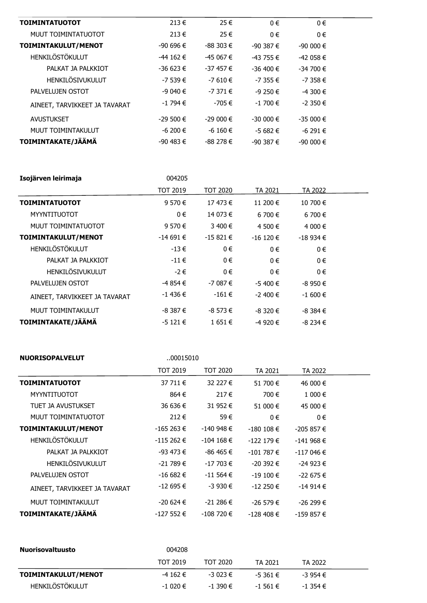| <b>TOIMINTATUOTOT</b>         | $213 \in$     | 25 €         | $0 \in$       | $0 \in$      |  |
|-------------------------------|---------------|--------------|---------------|--------------|--|
| MUUT TOIMINTATUOTOT           | $213 \in$     | 25 €         | $0 \in$       | 0€           |  |
| TOIMINTAKULUT/MENOT           | $-90696 \in$  | $-88303 \in$ | $-90.387 \in$ | $-90000 \in$ |  |
| <b>HENKILÖSTÖKULUT</b>        | $-44$ 162 €   | $-45067 \in$ | $-43755 \in$  | $-42058 \in$ |  |
| PALKAT JA PALKKIOT            | -36 623 €     | $-37457 \in$ | $-36,400$ €   | $-34700 \in$ |  |
| <b>HENKILÖSIVUKULUT</b>       | $-7539 \in$   | $-7610€$     | $-7355 \in$   | $-7358 \in$  |  |
| PALVELUJEN OSTOT              | $-9040€$      | $-7371€$     | $-9250€$      | $-4300$ €    |  |
| AINEET, TARVIKKEET JA TAVARAT | $-1794€$      | -705 €       | $-1700$ €     | $-2.350€$    |  |
| <b>AVUSTUKSET</b>             | $-29500 \in$  | $-29000 \in$ | $-30000 \in$  | $-35000 \in$ |  |
| MUUT TOIMINTAKULUT            | -6 200 €      | $-6$ 160 €   | $-5682 \in$   | $-6291€$     |  |
| TOIMINTAKATE/JÄÄMÄ            | $-90,483 \in$ | $-88278 \in$ | $-90.387 \in$ | $-90000 \in$ |  |

| Isojärven leirimaja           | 004205          |                 |              |              |  |
|-------------------------------|-----------------|-----------------|--------------|--------------|--|
|                               | <b>TOT 2019</b> | <b>TOT 2020</b> | TA 2021      | TA 2022      |  |
| <b>TOIMINTATUOTOT</b>         | 9 570 €         | 17 473 €        | 11 200 €     | 10 700 €     |  |
| <b>MYYNTITUOTOT</b>           | 0€              | 14 073 €        | $6700 \in$   | 6 700 €      |  |
| MUUT TOIMINTATUOTOT           | 9 570 €         | 3 400 €         | 4 500 €      | 4 000 €      |  |
| TOIMINTAKULUT/MENOT           | $-14691€$       | $-15821 \in$    | $-16120 \in$ | $-18934 \in$ |  |
| HENKILÖSTÖKULUT               | $-13 \in$       | $0 \in$         | $0 \in$      | 0€           |  |
| PALKAT JA PALKKIOT            | $-11 \in$       | $0 \in$         | $0 \in$      | $0 \in$      |  |
| <b>HENKILÖSIVUKULUT</b>       | -2€             | $0 \in$         | $0 \in$      | 0€           |  |
| PALVELUJEN OSTOT              | -4 854 €        | $-7087€$        | $-5400 \in$  | $-8950 \in$  |  |
| AINEET, TARVIKKEET JA TAVARAT | $-1$ 436 €      | $-161 \in$      | $-2400 \in$  | $-1600 \in$  |  |
| MUUT TOIMINTAKULUT            | $-8.387 \in$    | $-8573 \in$     | $-8320 \in$  | $-8.384 \in$ |  |
| TOIMINTAKATE/JÄÄMÄ            | $-5121€$        | 1651€           | $-4920€$     | $-8234€$     |  |

| <b>NUORISOPALVELUT</b>        | 00015010        |                 |               |               |  |
|-------------------------------|-----------------|-----------------|---------------|---------------|--|
|                               | <b>TOT 2019</b> | <b>TOT 2020</b> | TA 2021       | TA 2022       |  |
| <b>TOIMINTATUOTOT</b>         | 37 711 €        | 32 227 €        | 51 700 €      | 46 000 €      |  |
| <b>MYYNTITUOTOT</b>           | 864 €           | $217 \in$       | 700 €         | 1 000 €       |  |
| TUET JA AVUSTUKSET            | 36 636 €        | 31 952 €        | 51 000 €      | 45 000 €      |  |
| MUUT TOIMINTATUOTOT           | 212€            | 59€             | $0 \in$       | $0 \in$       |  |
| TOIMINTAKULUT/MENOT           | $-165263 \in$   | $-140948 \in$   | $-180$ 108 €  | $-205857€$    |  |
| HENKILÖSTÖKULUT               | $-115262 \in$   | $-104$ 168 €    | $-122179€$    | $-141968 \in$ |  |
| PALKAT JA PALKKIOT            | $-93$ 473 €     | -86 465 €       | $-101787 \in$ | $-117046 \in$ |  |
| <b>HENKILÖSIVUKULUT</b>       | $-21789 \in$    | $-17703 \in$    | $-20,392$ €   | $-24923 \in$  |  |
| PALVELUJEN OSTOT              | $-16682 \in$    | $-11564 \in$    | $-19100 \in$  | $-22675 \in$  |  |
| AINEET, TARVIKKEET JA TAVARAT | $-12695 \in$    | $-3930€$        | $-12250 \in$  | $-14914€$     |  |
| MUUT TOIMINTAKULUT            | -20 624 €       | $-21286€$       | $-26579€$     | -26 299 €     |  |
| TOIMINTAKATE/JÄÄMÄ            | $-127552 \in$   | $-108$ 720 €    | $-128$ 408 €  | $-159857 \in$ |  |

| <b>Nuorisovaltuusto</b> | 004208          |             |              |              |  |
|-------------------------|-----------------|-------------|--------------|--------------|--|
|                         | <b>TOT 2019</b> | TOT 2020    | TA 2021      | TA 2022      |  |
| TOIMINTAKULUT/MENOT     | -4 162 €        | -3 023 €    | $-5.361 \in$ | $-3954€$     |  |
| HENKILÖSTÖKULUT         | $-1020€$        | $-1390 \in$ | $-1$ 561 €   | $-1.354 \in$ |  |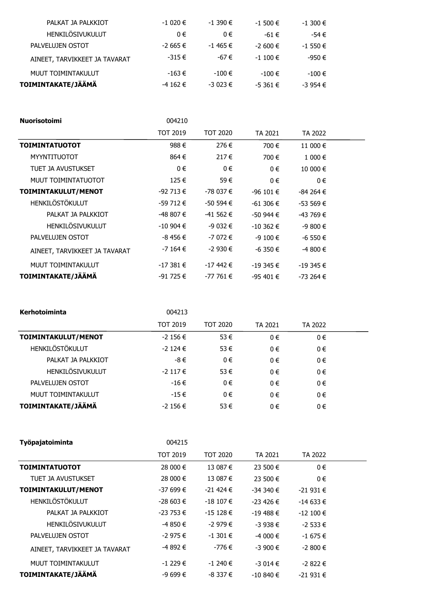| PALKAT JA PALKKIOT            | $-1020$ €   | $-1390$ €   | $-1500 \in$ | $-1300 \in$ |
|-------------------------------|-------------|-------------|-------------|-------------|
| HENKILÖSIVUKULUT              | $0 \in$     | $0 \in$     | -61 €       | $-54 \in$   |
| PALVELUJEN OSTOT              | $-2665 \in$ | $-1$ 465 €  | $-2600$ €   | $-1550€$    |
| AINEET, TARVIKKEET JA TAVARAT | $-315 \in$  | -67 €       | $-1100$ €   | -950 €      |
| MUUT TOIMINTAKULUT            | $-163 \in$  | $-100 \in$  | $-100 \in$  | $-100 \in$  |
| TOIMINTAKATE/JÄÄMÄ            | $-4$ 162 €  | $-3023 \in$ | $-5361 \in$ | $-3954€$    |
|                               |             |             |             |             |

| <b>Nuorisotoimi</b>           | 004210          |                 |               |              |  |
|-------------------------------|-----------------|-----------------|---------------|--------------|--|
|                               | <b>TOT 2019</b> | <b>TOT 2020</b> | TA 2021       | TA 2022      |  |
| <b>TOIMINTATUOTOT</b>         | 988€            | 276€            | 700€          | 11 000 €     |  |
| <b>MYYNTITUOTOT</b>           | 864€            | 217€            | 700€          | 1 000 €      |  |
| TUET JA AVUSTUKSET            | $0 \in$         | $0 \in$         | $0 \in$       | 10 000 €     |  |
| MUUT TOIMINTATUOTOT           | 125€            | 59€             | $0 \in$       | 0€           |  |
| TOIMINTAKULUT/MENOT           | $-92713 \in$    | -78 037 €       | $-96101 \in$  | $-84264 \in$ |  |
| HENKILÖSTÖKULUT               | $-59712 \in$    | $-50594 \in$    | $-61306 \in$  | $-53569 \in$ |  |
| PALKAT JA PALKKIOT            | -48 807 €       | $-41562 \in$    | $-50944 \in$  | $-43769 \in$ |  |
| HENKILÖSIVUKULUT              | $-10904 \in$    | $-9032 \in$     | $-10,362$ €   | $-9800 \in$  |  |
| PALVELUJEN OSTOT              | -8 456 €        | $-7072$ €       | $-9100 \in$   | $-6550 \in$  |  |
| AINEET, TARVIKKEET JA TAVARAT | $-7164 \in$     | $-2930€$        | $-6350 \in$   | $-4800 \in$  |  |
| MUUT TOIMINTAKULUT            | $-17381 \in$    | $-17$ 442 €     | $-19345 \in$  | $-19345 \in$ |  |
| TOIMINTAKATE/JÄÄMÄ            | $-91725 \in$    | $-777761€$      | $-95,401 \in$ | $-73264 \in$ |  |

| Kerhotoiminta           | 004213          |                 |         |         |  |
|-------------------------|-----------------|-----------------|---------|---------|--|
|                         | <b>TOT 2019</b> | <b>TOT 2020</b> | TA 2021 | TA 2022 |  |
| TOIMINTAKULUT/MENOT     | $-2$ 156 €      | 53 €            | 0€      | $0 \in$ |  |
| <b>HENKILÖSTÖKULUT</b>  | $-2$ 124 €      | 53€             | $0 \in$ | $0 \in$ |  |
| PALKAT JA PALKKIOT      | -8€             | 0€              | 0€      | $0 \in$ |  |
| <b>HENKILÖSIVUKULUT</b> | $-2$ 117 €      | 53€             | 0€      | $0 \in$ |  |
| PALVELUJEN OSTOT        | $-16 \in$       | 0€              | 0€      | $0 \in$ |  |
| MUUT TOIMINTAKULUT      | $-15 \in$       | 0€              | 0€      | 0€      |  |
| TOIMINTAKATE/JÄÄMÄ      | $-2$ 156 €      | 53€             | $0 \in$ | $0 \in$ |  |

| Työpajatoiminta               | 004215          |                 |              |              |  |
|-------------------------------|-----------------|-----------------|--------------|--------------|--|
|                               | <b>TOT 2019</b> | <b>TOT 2020</b> | TA 2021      | TA 2022      |  |
| <b>TOIMINTATUOTOT</b>         | 28 000 €        | 13 087 €        | 23 500 €     | $0 \in$      |  |
| TUET JA AVUSTUKSET            | 28 000 €        | 13 087 €        | 23 500 €     | $0 \in$      |  |
| TOIMINTAKULUT/MENOT           | -37 699 €       | $-21424 \in$    | $-34340€$    | $-21931€$    |  |
| <b>HENKILÖSTÖKULUT</b>        | $-28603 \in$    | $-18107 \in$    | $-23$ 426 €  | $-14633 \in$ |  |
| PALKAT JA PALKKIOT            | $-23753 \in$    | $-15128 \in$    | $-19488 \in$ | $-12100 \in$ |  |
| <b>HENKILÖSIVUKULUT</b>       | -4 850 €        | $-2979€$        | $-3938€$     | $-2$ 533 €   |  |
| PALVELUJEN OSTOT              | $-2975€$        | $-1301 \in$     | $-4000$ €    | $-1675 \in$  |  |
| AINEET, TARVIKKEET JA TAVARAT | -4 892 €        | -776 €          | $-3900$ €    | $-2800 \in$  |  |
| MUUT TOIMINTAKULUT            | $-1229 \in$     | $-1240€$        | $-3014€$     | $-2822 \in$  |  |
| TOIMINTAKATE/JÄÄMÄ            | $-9699 \in$     | $-8337 \in$     | $-10840 \in$ | $-21931€$    |  |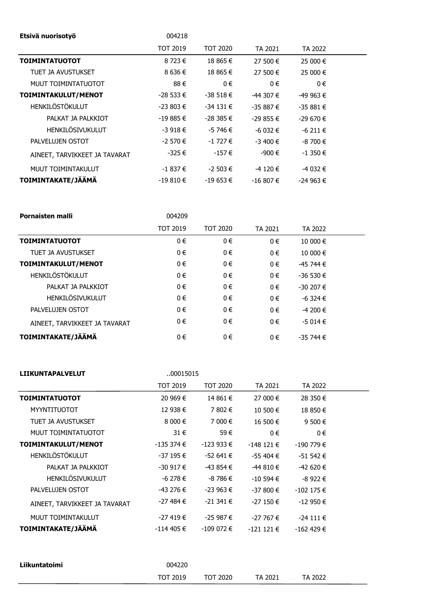| Etsivä nuorisotyö             | 004218          |                 |              |              |  |
|-------------------------------|-----------------|-----------------|--------------|--------------|--|
|                               | <b>TOT 2019</b> | <b>TOT 2020</b> | TA 2021      | TA 2022      |  |
| <b>TOIMINTATUOTOT</b>         | 8 723 €         | 18 865 €        | 27 500 €     | 25 000 €     |  |
| TUET JA AVUSTUKSET            | 8 636 €         | 18 865 €        | 27 500 €     | 25 000 €     |  |
| MUUT TOIMINTATUOTOT           | 88€             | $0 \in$         | $0 \in$      | 0€           |  |
| TOIMINTAKULUT/MENOT           | $-28533 \in$    | $-38518€$       | $-44307 \in$ | -49 963 €    |  |
| <b>HENKILÖSTÖKULUT</b>        | $-23803 \in$    | $-34131 \in$    | $-35887€$    | $-35881€$    |  |
| PALKAT JA PALKKIOT            | $-19885 \in$    | $-28385 \in$    | $-29855 \in$ | $-29670 \in$ |  |
| HENKILÖSIVUKULUT              | $-3918€$        | $-5746 \in$     | $-6032 \in$  | $-6211€$     |  |
| PALVELUJEN OSTOT              | $-2570€$        | $-1727 \in$     | $-3,400 \in$ | $-8700 \in$  |  |
| AINEET, TARVIKKEET JA TAVARAT | -325 €          | $-157 \in$      | -900 €       | -1 350 €     |  |
| MUUT TOIMINTAKULUT            | $-1837 \in$     | $-2$ 503 €      | $-4120€$     | -4 032 €     |  |
| TOIMINTAKATE/JÄÄMÄ            | $-19810€$       | $-19653 \in$    | $-16807 \in$ | $-24963 \in$ |  |

| Pornaisten malli              | 004209          |                 |         |              |  |
|-------------------------------|-----------------|-----------------|---------|--------------|--|
|                               | <b>TOT 2019</b> | <b>TOT 2020</b> | TA 2021 | TA 2022      |  |
| <b>TOIMINTATUOTOT</b>         | 0€              | 0€              | $0 \in$ | 10 000 €     |  |
| TUET JA AVUSTUKSET            | $0 \in$         | 0€              | 0€      | 10 000 €     |  |
| TOIMINTAKULUT/MENOT           | $0 \in$         | 0€              | $0 \in$ | -45 744 €    |  |
| HENKILÖSTÖKULUT               | $0 \in$         | 0€              | 0€      | $-36530€$    |  |
| PALKAT JA PALKKIOT            | 0€              | 0€              | $0 \in$ | $-30207 \in$ |  |
| HENKILÖSIVUKULUT              | $0 \in$         | 0€              | 0€      | $-6.324 \in$ |  |
| PALVELUJEN OSTOT              | 0€              | 0€              | $0 \in$ | $-4200$ €    |  |
| AINEET, TARVIKKEET JA TAVARAT | 0€              | 0€              | $0 \in$ | $-5014€$     |  |
| TOIMINTAKATE/JÄÄMÄ            | 0€              | 0€              | $0 \in$ | -35 744 €    |  |

| <b>LIIKUNTAPALVELUT</b> | 00015015        |                 |               |  |
|-------------------------|-----------------|-----------------|---------------|--|
|                         | <b>TOT 2019</b> | <b>TOT 2020</b> | TA 2021       |  |
| <b>TOIMINTATUOTOT</b>   | 20 969 €        | 14 861 €        | 27 000 €      |  |
| <b>MYYNTITUOTOT</b>     | 12 938 €        | 7 802 €         | 10 500 €      |  |
| TUET JA AVUSTUKSET      | $8000 \in$      | 7 000 €         | 16 500 €      |  |
| MUUT TOIMINTATUOTOT     | 31 $\epsilon$   | 59€             | $0 \in$       |  |
| TOIMINTAKULUT/MENOT     | $-135374 \in$   | $-123933 \in$   | $-148121 \in$ |  |
| HENKILÖSTÖKULUT         | $-37195 \in$    | $-52641 \in$    | $-55404 \in$  |  |

| TOIMINTAKATE/JÄÄMÄ            | $-114405 \in$ | $-109072 \in$ | $-121121 \in$ | $-162$ 429 €  |  |
|-------------------------------|---------------|---------------|---------------|---------------|--|
| MUUT TOIMINTAKULUT            | $-27419€$     | $-25987€$     | $-27767 \in$  | $-24111 \in$  |  |
|                               |               |               |               |               |  |
| AINEET, TARVIKKEET JA TAVARAT | -27 484 €     | $-21341 \in$  | $-27150 \in$  | $-12950 \in$  |  |
| PALVELUJEN OSTOT              | $-43276 \in$  | $-23963 \in$  | $-37800 \in$  | $-102$ 175 €  |  |
| HENKILÖSIVUKULUT              | $-6278 \in$   | -8 786 €      | $-10594 \in$  | $-8922$ €     |  |
| PALKAT JA PALKKIOT            | -30 917 €     | -43 854 €     | $-44810€$     | $-42620€$     |  |
| HENKILÖSTÖKULUT               | $-37195 \in$  | $-52641 \in$  | $-55404 \in$  | $-51542 \in$  |  |
| TOIMINTAKULUT/MENOT           | $-135374 \in$ | $-123933 \in$ | $-148121 \in$ | $-190779 \in$ |  |
| MUUT TOIMINTATUOTOT           | $31 \in$      | 59€           | $0 \in$       | $0 \in$       |  |
| TUET JA AVUSTUKSET            | 8000€         | 7 000 €       | 16 500 €      | 9 500 €       |  |
| <b>MYYNTITUOTOT</b>           | 12 938 €      | 7 802 €       | 10 500 €      | 18 850 €      |  |

TA 2022 28 350 €

| Liikuntatoimi | 004220          |          |         |         |
|---------------|-----------------|----------|---------|---------|
|               | <b>TOT 2019</b> | TOT 2020 | TA 2021 | TA 2022 |